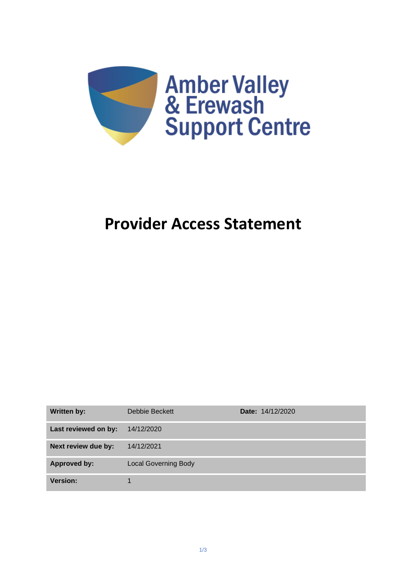

# **Provider Access Statement**

| <b>Written by:</b>   | Debbie Beckett              | <b>Date: 14/12/2020</b> |
|----------------------|-----------------------------|-------------------------|
| Last reviewed on by: | 14/12/2020                  |                         |
| Next review due by:  | 14/12/2021                  |                         |
| <b>Approved by:</b>  | <b>Local Governing Body</b> |                         |
| <b>Version:</b>      |                             |                         |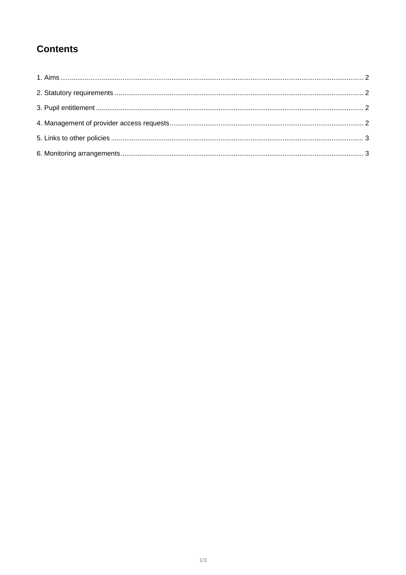## **Contents**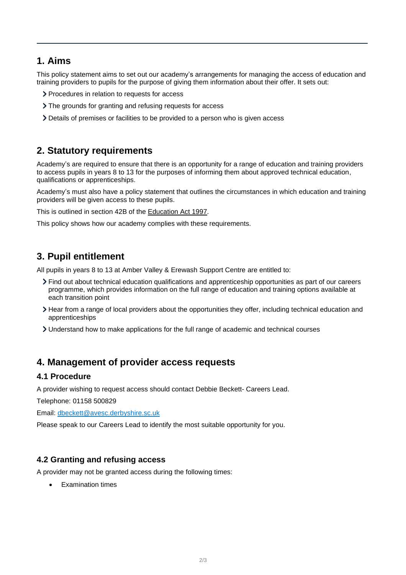## <span id="page-2-0"></span>**1. Aims**

This policy statement aims to set out our academy's arrangements for managing the access of education and training providers to pupils for the purpose of giving them information about their offer. It sets out:

- > Procedures in relation to requests for access
- > The grounds for granting and refusing requests for access
- Details of premises or facilities to be provided to a person who is given access

## <span id="page-2-1"></span>**2. Statutory requirements**

Academy's are required to ensure that there is an opportunity for a range of education and training providers to access pupils in years 8 to 13 for the purposes of informing them about approved technical education, qualifications or apprenticeships.

Academy's must also have a policy statement that outlines the circumstances in which education and training providers will be given access to these pupils.

This is outlined in section 42B of the [Education Act 1997.](https://www.legislation.gov.uk/ukpga/1997/44/section/42B)

This policy shows how our academy complies with these requirements.

## <span id="page-2-2"></span>**3. Pupil entitlement**

All pupils in years 8 to 13 at Amber Valley & Erewash Support Centre are entitled to:

- Find out about technical education qualifications and apprenticeship opportunities as part of our careers programme, which provides information on the full range of education and training options available at each transition point
- Hear from a range of local providers about the opportunities they offer, including technical education and apprenticeships
- Understand how to make applications for the full range of academic and technical courses

## <span id="page-2-3"></span>**4. Management of provider access requests**

#### **4.1 Procedure**

A provider wishing to request access should contact Debbie Beckett- Careers Lead.

Telephone: 01158 500829

Email: [dbeckett@avesc.derbyshire.sc.uk](mailto:dbeckett@avesc.derbyshire.sc.uk)

Please speak to our Careers Lead to identify the most suitable opportunity for you.

#### **4.2 Granting and refusing access**

A provider may not be granted access during the following times:

**Examination times**